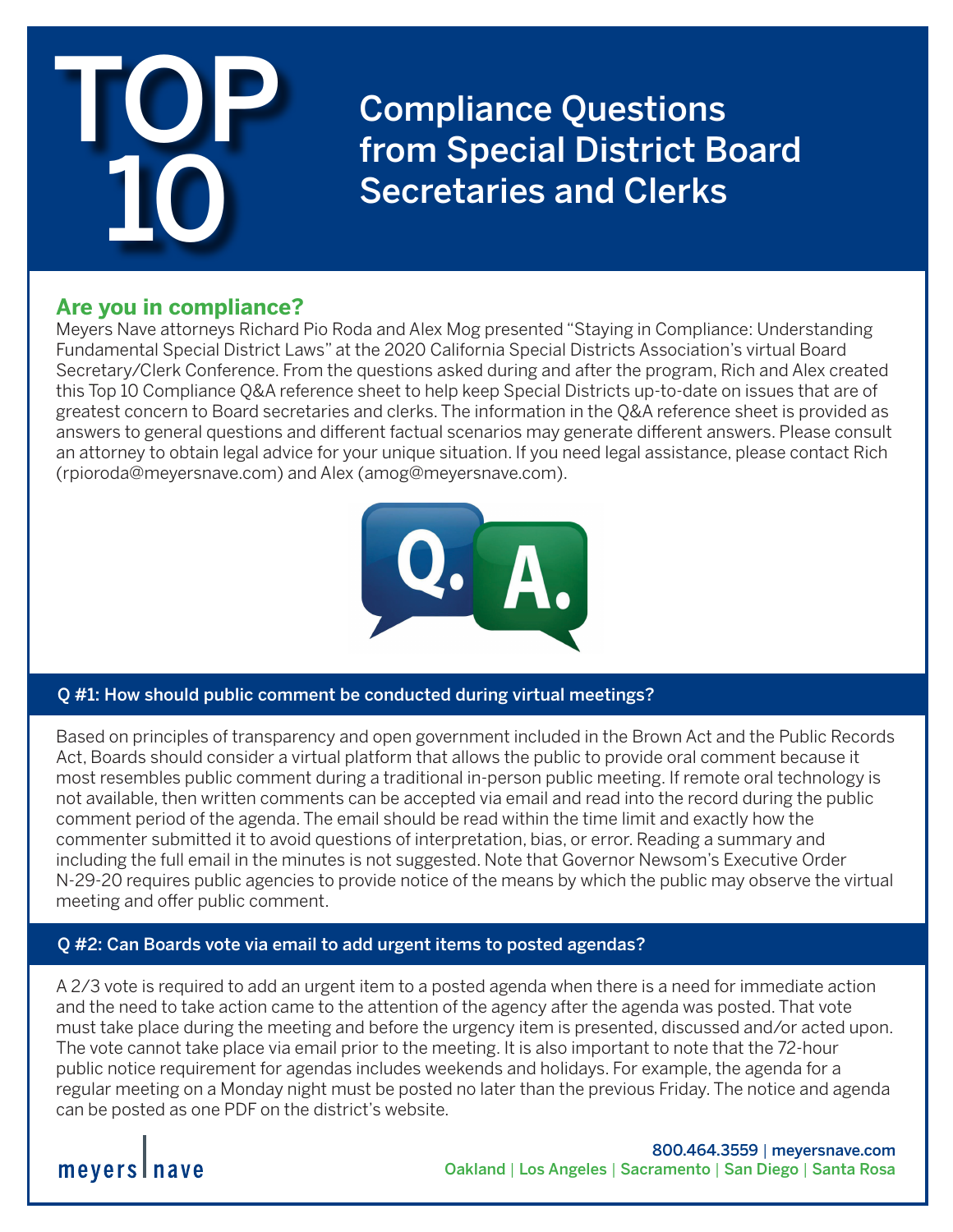

Compliance Questions from Special District Board Secretaries and Clerks

## **Are you in compliance?**

Meyers Nave attorneys Richard Pio Roda and Alex Mog presented "Staying in Compliance: Understanding Fundamental Special District Laws" at the 2020 California Special Districts Association's virtual Board Secretary/Clerk Conference. From the questions asked during and after the program, Rich and Alex created this Top 10 Compliance Q&A reference sheet to help keep Special Districts up-to-date on issues that are of greatest concern to Board secretaries and clerks. The information in the Q&A reference sheet is provided as answers to general questions and different factual scenarios may generate different answers. Please consult an attorney to obtain legal advice for your unique situation. If you need legal assistance, please contact Rich (rpioroda@meyersnave.com) and Alex (amog@meyersnave.com).



### Q #1: How should public comment be conducted during virtual meetings?

Based on principles of transparency and open government included in the Brown Act and the Public Records Act, Boards should consider a virtual platform that allows the public to provide oral comment because it most resembles public comment during a traditional in-person public meeting. If remote oral technology is not available, then written comments can be accepted via email and read into the record during the public comment period of the agenda. The email should be read within the time limit and exactly how the commenter submitted it to avoid questions of interpretation, bias, or error. Reading a summary and including the full email in the minutes is not suggested. Note that Governor Newsom's Executive Order N-29-20 requires public agencies to provide notice of the means by which the public may observe the virtual meeting and offer public comment.

### Q #2: Can Boards vote via email to add urgent items to posted agendas?

A 2/3 vote is required to add an urgent item to a posted agenda when there is a need for immediate action and the need to take action came to the attention of the agency after the agenda was posted. That vote must take place during the meeting and before the urgency item is presented, discussed and/or acted upon. The vote cannot take place via email prior to the meeting. It is also important to note that the 72-hour public notice requirement for agendas includes weekends and holidays. For example, the agenda for a regular meeting on a Monday night must be posted no later than the previous Friday. The notice and agenda can be posted as one PDF on the district's website.

## meyers I nave

800.464.3559 | meyersnave.com Oakland | Los Angeles | Sacramento | San Diego | Santa Rosa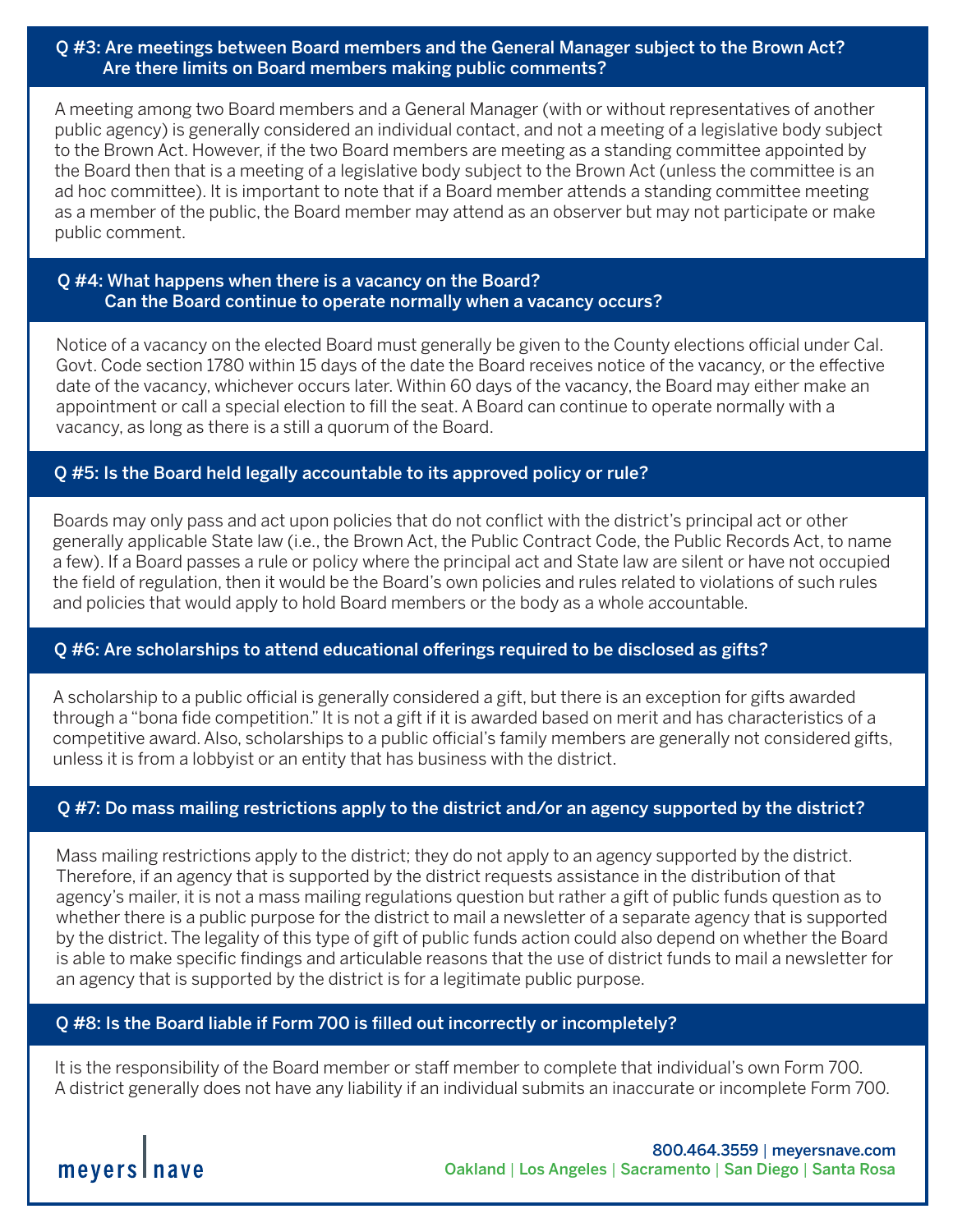Q #3: Are meetings between Board members and the General Manager subject to the Brown Act? Are there limits on Board members making public comments?

A meeting among two Board members and a General Manager (with or without representatives of another public agency) is generally considered an individual contact, and not a meeting of a legislative body subject to the Brown Act. However, if the two Board members are meeting as a standing committee appointed by the Board then that is a meeting of a legislative body subject to the Brown Act (unless the committee is an ad hoc committee). It is important to note that if a Board member attends a standing committee meeting as a member of the public, the Board member may attend as an observer but may not participate or make public comment.

#### Q #4: What happens when there is a vacancy on the Board? Can the Board continue to operate normally when a vacancy occurs?

Notice of a vacancy on the elected Board must generally be given to the County elections official under Cal. Govt. Code section 1780 within 15 days of the date the Board receives notice of the vacancy, or the effective date of the vacancy, whichever occurs later. Within 60 days of the vacancy, the Board may either make an appointment or call a special election to fill the seat. A Board can continue to operate normally with a vacancy, as long as there is a still a quorum of the Board.

#### Q #5: Is the Board held legally accountable to its approved policy or rule?

Boards may only pass and act upon policies that do not conflict with the district's principal act or other generally applicable State law (i.e., the Brown Act, the Public Contract Code, the Public Records Act, to name a few). If a Board passes a rule or policy where the principal act and State law are silent or have not occupied the field of regulation, then it would be the Board's own policies and rules related to violations of such rules and policies that would apply to hold Board members or the body as a whole accountable.

#### Q #6: Are scholarships to attend educational offerings required to be disclosed as gifts?

A scholarship to a public official is generally considered a gift, but there is an exception for gifts awarded through a "bona fide competition." It is not a gift if it is awarded based on merit and has characteristics of a competitive award. Also, scholarships to a public official's family members are generally not considered gifts, unless it is from a lobbyist or an entity that has business with the district.

#### Q #7: Do mass mailing restrictions apply to the district and/or an agency supported by the district?

Mass mailing restrictions apply to the district; they do not apply to an agency supported by the district. Therefore, if an agency that is supported by the district requests assistance in the distribution of that agency's mailer, it is not a mass mailing regulations question but rather a gift of public funds question as to whether there is a public purpose for the district to mail a newsletter of a separate agency that is supported by the district. The legality of this type of gift of public funds action could also depend on whether the Board is able to make specific findings and articulable reasons that the use of district funds to mail a newsletter for an agency that is supported by the district is for a legitimate public purpose.

#### Q #8: Is the Board liable if Form 700 is filled out incorrectly or incompletely?

It is the responsibility of the Board member or staff member to complete that individual's own Form 700. A district generally does not have any liability if an individual submits an inaccurate or incomplete Form 700.

meyers nave

800.464.3559 | meyersnave.com Oakland | Los Angeles | Sacramento | San Diego | Santa Rosa